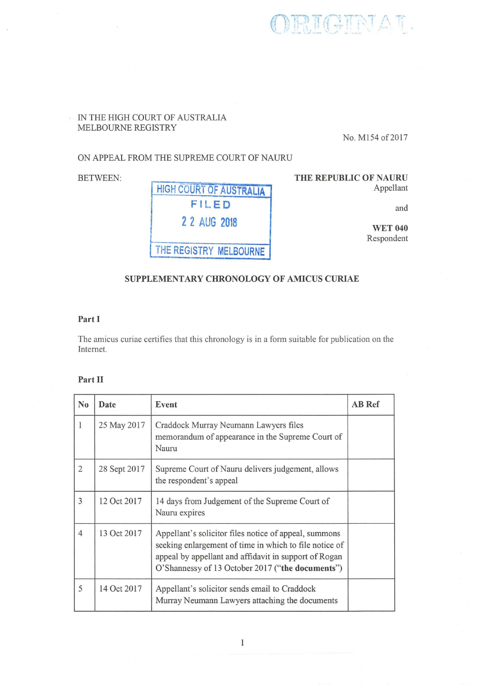RIGIRIAT.

## IN THE HIGH COURT OF AUSTRALIA MELBOURNE REGISTRY

No. M154 of 2017

### ON APPEAL FROM THE SUPREME COURT OF NAURU

BETWEEN:



THE REPUBLIC OF NAURU Appellant

and

WET 040 Respondent

# SUPPLEMENTARY CHRONOLOGY OF AMICUS CURIAE

#### Part I

The amicus curiae certifies that this chronology is in a form suitable for publication on the Internet.

### Part II

| N <sub>0</sub> | Date         | Event                                                                                                                                                                                                                        | <b>AB</b> Ref |
|----------------|--------------|------------------------------------------------------------------------------------------------------------------------------------------------------------------------------------------------------------------------------|---------------|
|                | 25 May 2017  | Craddock Murray Neumann Lawyers files<br>memorandum of appearance in the Supreme Court of<br>Nauru                                                                                                                           |               |
| 2              | 28 Sept 2017 | Supreme Court of Nauru delivers judgement, allows<br>the respondent's appeal                                                                                                                                                 |               |
| 3              | 12 Oct 2017  | 14 days from Judgement of the Supreme Court of<br>Nauru expires                                                                                                                                                              |               |
| $\overline{4}$ | 13 Oct 2017  | Appellant's solicitor files notice of appeal, summons<br>seeking enlargement of time in which to file notice of<br>appeal by appellant and affidavit in support of Rogan<br>O'Shannessy of 13 October 2017 ("the documents") |               |
| 5              | 14 Oct 2017  | Appellant's solicitor sends email to Craddock<br>Murray Neumann Lawyers attaching the documents                                                                                                                              |               |